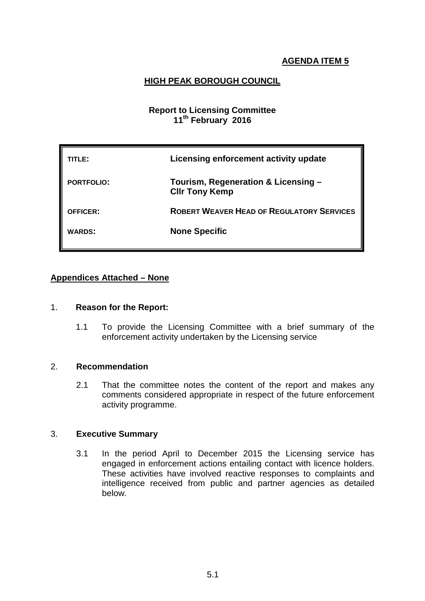# **HIGH PEAK BOROUGH COUNCIL**

# **Report to Licensing Committee 11th February 2016**

| TITLE:            | Licensing enforcement activity update                        |
|-------------------|--------------------------------------------------------------|
| <b>PORTFOLIO:</b> | Tourism, Regeneration & Licensing -<br><b>CIIr Tony Kemp</b> |
| <b>OFFICER:</b>   | <b>ROBERT WEAVER HEAD OF REGULATORY SERVICES</b>             |
| <b>WARDS:</b>     | <b>None Specific</b>                                         |

# **Appendices Attached – None**

#### 1. **Reason for the Report:**

1.1 To provide the Licensing Committee with a brief summary of the enforcement activity undertaken by the Licensing service

### 2. **Recommendation**

2.1 That the committee notes the content of the report and makes any comments considered appropriate in respect of the future enforcement activity programme.

#### 3. **Executive Summary**

3.1 In the period April to December 2015 the Licensing service has engaged in enforcement actions entailing contact with licence holders. These activities have involved reactive responses to complaints and intelligence received from public and partner agencies as detailed below.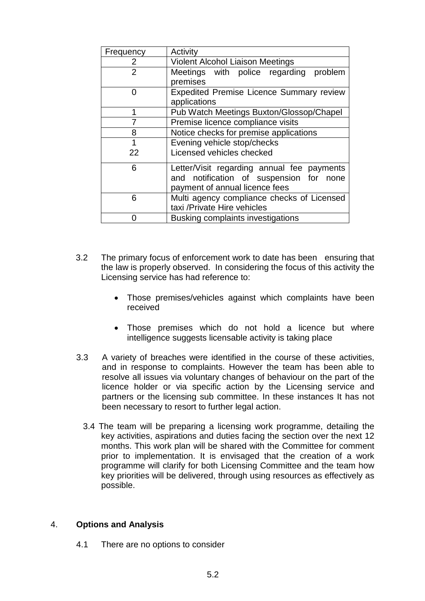| Frequency      | Activity                                        |
|----------------|-------------------------------------------------|
| 2              | <b>Violent Alcohol Liaison Meetings</b>         |
| $\overline{2}$ | Meetings with police regarding problem          |
|                | premises                                        |
| O              | <b>Expedited Premise Licence Summary review</b> |
|                | applications                                    |
| 1              | Pub Watch Meetings Buxton/Glossop/Chapel        |
|                | Premise licence compliance visits               |
| 8              | Notice checks for premise applications          |
| 1              | Evening vehicle stop/checks                     |
| 22             | Licensed vehicles checked                       |
| 6              | Letter/Visit regarding annual fee payments      |
|                | and notification of suspension for none         |
|                | payment of annual licence fees                  |
| 6              | Multi agency compliance checks of Licensed      |
|                | taxi /Private Hire vehicles                     |
|                | Busking complaints investigations               |

- 3.2 The primary focus of enforcement work to date has been ensuring that the law is properly observed. In considering the focus of this activity the Licensing service has had reference to:
	- Those premises/vehicles against which complaints have been received
	- Those premises which do not hold a licence but where intelligence suggests licensable activity is taking place
- 3.3 A variety of breaches were identified in the course of these activities, and in response to complaints. However the team has been able to resolve all issues via voluntary changes of behaviour on the part of the licence holder or via specific action by the Licensing service and partners or the licensing sub committee. In these instances It has not been necessary to resort to further legal action.
	- 3.4 The team will be preparing a licensing work programme, detailing the key activities, aspirations and duties facing the section over the next 12 months. This work plan will be shared with the Committee for comment prior to implementation. It is envisaged that the creation of a work programme will clarify for both Licensing Committee and the team how key priorities will be delivered, through using resources as effectively as possible.

# 4. **Options and Analysis**

4.1 There are no options to consider